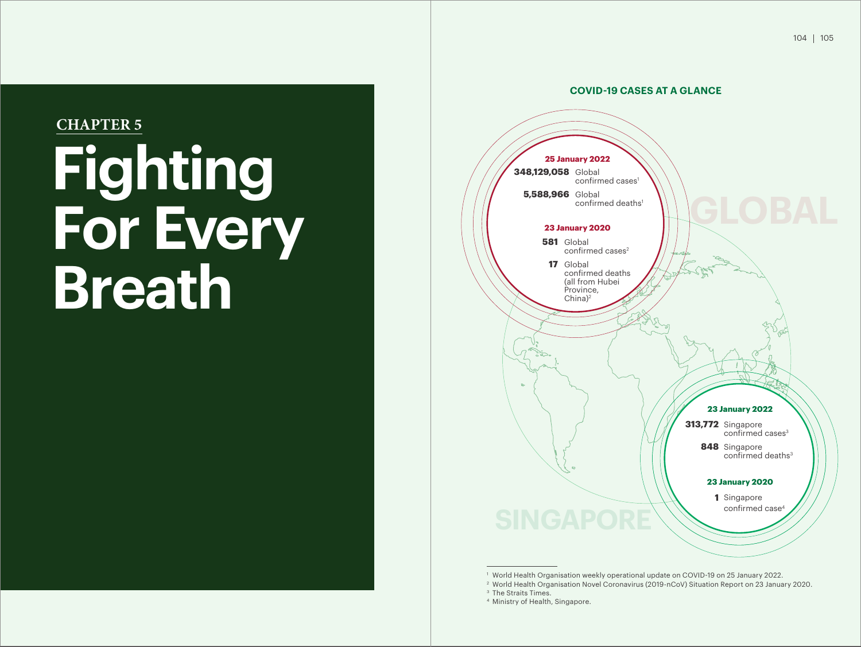104 105

# **Fighting For Every Breath CHAPTER 5**



<sup>1</sup> World Health Organisation weekly operational update on COVID-19 on 25 January 2022.

<sup>2</sup> World Health Organisation Novel Coronavirus (2019-nCoV) Situation Report on 23 January 2020.

<sup>&</sup>lt;sup>3</sup> The Straits Times.

<sup>4</sup> Ministry of Health, Singapore.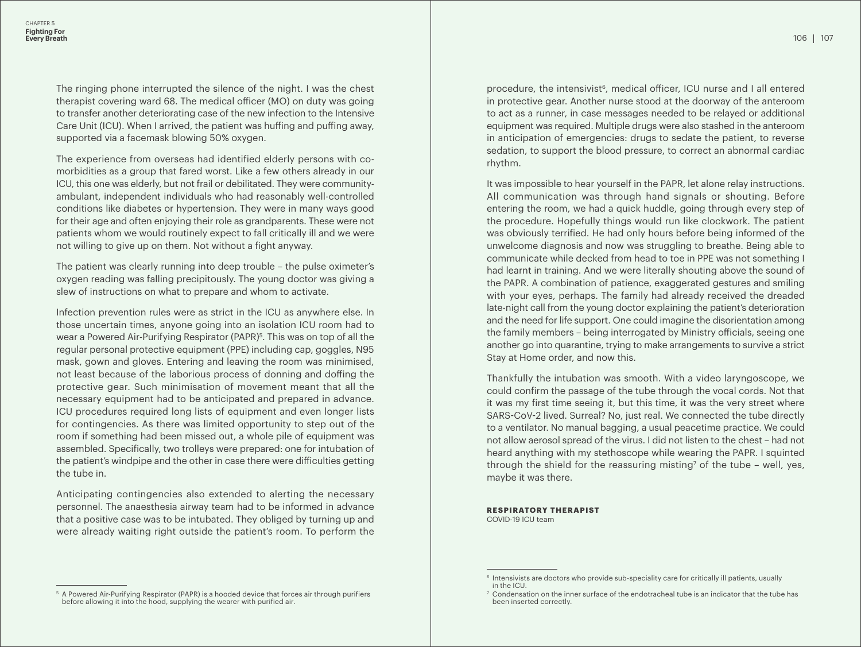The ringing phone interrupted the silence of the night. I was the chest therapist covering ward 68. The medical officer (MO) on duty was going to transfer another deteriorating case of the new infection to the Intensive Care Unit (ICU). When I arrived, the patient was huffing and puffing away, supported via a facemask blowing 50% oxygen.

The experience from overseas had identified elderly persons with comorbidities as a group that fared worst. Like a few others already in our ICU, this one was elderly, but not frail or debilitated. They were communityambulant, independent individuals who had reasonably well-controlled conditions like diabetes or hypertension. They were in many ways good for their age and often enjoying their role as grandparents. These were not patients whom we would routinely expect to fall critically ill and we were not willing to give up on them. Not without a fight anyway.

The patient was clearly running into deep trouble – the pulse oximeter's oxygen reading was falling precipitously. The young doctor was giving a slew of instructions on what to prepare and whom to activate.

Infection prevention rules were as strict in the ICU as anywhere else. In those uncertain times, anyone going into an isolation ICU room had to wear a Powered Air-Purifying Respirator (PAPR)<sup>5</sup>. This was on top of all the regular personal protective equipment (PPE) including cap, goggles, N95 mask, gown and gloves. Entering and leaving the room was minimised, not least because of the laborious process of donning and doffing the protective gear. Such minimisation of movement meant that all the necessary equipment had to be anticipated and prepared in advance. ICU procedures required long lists of equipment and even longer lists for contingencies. As there was limited opportunity to step out of the room if something had been missed out, a whole pile of equipment was assembled. Specifically, two trolleys were prepared: one for intubation of the patient's windpipe and the other in case there were difficulties getting the tube in.

Anticipating contingencies also extended to alerting the necessary personnel. The anaesthesia airway team had to be informed in advance that a positive case was to be intubated. They obliged by turning up and were already waiting right outside the patient's room. To perform the

procedure, the intensivist<sup>6</sup>, medical officer, ICU nurse and I all entered in protective gear. Another nurse stood at the doorway of the anteroom to act as a runner, in case messages needed to be relayed or additional equipment was required. Multiple drugs were also stashed in the anteroom in anticipation of emergencies: drugs to sedate the patient, to reverse sedation, to support the blood pressure, to correct an abnormal cardiac rhythm.

It was impossible to hear yourself in the PAPR, let alone relay instructions. All communication was through hand signals or shouting. Before entering the room, we had a quick huddle, going through every step of the procedure. Hopefully things would run like clockwork. The patient was obviously terrified. He had only hours before being informed of the unwelcome diagnosis and now was struggling to breathe. Being able to communicate while decked from head to toe in PPE was not something I had learnt in training. And we were literally shouting above the sound of the PAPR. A combination of patience, exaggerated gestures and smiling with your eyes, perhaps. The family had already received the dreaded late-night call from the young doctor explaining the patient's deterioration and the need for life support. One could imagine the disorientation among the family members – being interrogated by Ministry officials, seeing one another go into quarantine, trying to make arrangements to survive a strict Stay at Home order, and now this.

Thankfully the intubation was smooth. With a video laryngoscope, we could confirm the passage of the tube through the vocal cords. Not that it was my first time seeing it, but this time, it was the very street where SARS-CoV-2 lived. Surreal? No, just real. We connected the tube directly to a ventilator. No manual bagging, a usual peacetime practice. We could not allow aerosol spread of the virus. I did not listen to the chest – had not heard anything with my stethoscope while wearing the PAPR. I squinted through the shield for the reassuring misting<sup>7</sup> of the tube  $-$  well, yes, maybe it was there.

**RESPIRATORY THERAPIST** COVID-19 ICU team

<sup>6</sup> Intensivists are doctors who provide sub-speciality care for critically ill patients, usually in the ICU.

 $7$  Condensation on the inner surface of the endotracheal tube is an indicator that the tube has been inserted correctly.

<sup>5</sup> A Powered Air-Purifying Respirator (PAPR) is a hooded device that forces air through purifiers before allowing it into the hood, supplying the wearer with purified air.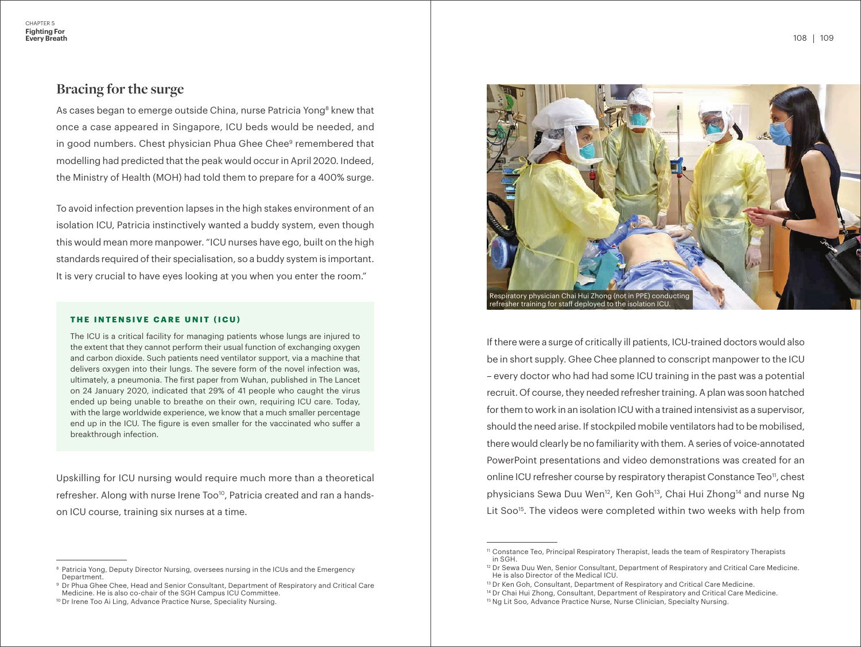As cases began to emerge outside China, nurse Patricia Yong<sup>8</sup> knew that once a case appeared in Singapore, ICU beds would be needed, and in good numbers. Chest physician Phua Ghee Chee<sup>9</sup> remembered that modelling had predicted that the peak would occur in April 2020. Indeed, the Ministry of Health (MOH) had told them to prepare for a 400% surge.

To avoid infection prevention lapses in the high stakes environment of an isolation ICU, Patricia instinctively wanted a buddy system, even though this would mean more manpower. "ICU nurses have ego, built on the high standards required of their specialisation, so a buddy system is important. It is very crucial to have eyes looking at you when you enter the room."

## **THE INTENSIVE CARE UNIT (ICU)**

The ICU is a critical facility for managing patients whose lungs are injured to the extent that they cannot perform their usual function of exchanging oxygen and carbon dioxide. Such patients need ventilator support, via a machine that delivers oxygen into their lungs. The severe form of the novel infection was, ultimately, a pneumonia. The first paper from Wuhan, published in The Lancet on 24 January 2020, indicated that 29% of 41 people who caught the virus ended up being unable to breathe on their own, requiring ICU care. Today, with the large worldwide experience, we know that a much smaller percentage end up in the ICU. The figure is even smaller for the vaccinated who suffer a breakthrough infection.

Upskilling for ICU nursing would require much more than a theoretical refresher. Along with nurse Irene Too<sup>10</sup>, Patricia created and ran a handson ICU course, training six nurses at a time.



If there were a surge of critically ill patients, ICU-trained doctors would also be in short supply. Ghee Chee planned to conscript manpower to the ICU – every doctor who had had some ICU training in the past was a potential recruit. Of course, they needed refresher training. A plan was soon hatched for them to work in an isolation ICU with a trained intensivist as a supervisor, should the need arise. If stockpiled mobile ventilators had to be mobilised, there would clearly be no familiarity with them. A series of voice-annotated PowerPoint presentations and video demonstrations was created for an online ICU refresher course by respiratory therapist Constance Teo<sup>11</sup>, chest physicians Sewa Duu Wen<sup>12</sup>, Ken Goh<sup>13</sup>, Chai Hui Zhong<sup>14</sup> and nurse Ng Lit Soo<sup>15</sup>. The videos were completed within two weeks with help from

Respiratory physician Chai Hui Zhong (not in PPE) conducting refresher training for staff deployed to the isolation ICU.

<sup>8</sup> Patricia Yong, Deputy Director Nursing, oversees nursing in the ICUs and the Emergency Department.

<sup>9</sup> Dr Phua Ghee Chee, Head and Senior Consultant, Department of Respiratory and Critical Care Medicine. He is also co-chair of the SGH Campus ICU Committee.

<sup>&</sup>lt;sup>10</sup> Dr Irene Too Ai Ling, Advance Practice Nurse, Speciality Nursing.

<sup>11</sup> Constance Teo, Principal Respiratory Therapist, leads the team of Respiratory Therapists in SGH.

<sup>&</sup>lt;sup>12</sup> Dr Sewa Duu Wen, Senior Consultant, Department of Respiratory and Critical Care Medicine. He is also Director of the Medical ICU.

<sup>&</sup>lt;sup>13</sup> Dr Ken Goh, Consultant, Department of Respiratory and Critical Care Medicine.

<sup>&</sup>lt;sup>14</sup> Dr Chai Hui Zhong, Consultant, Department of Respiratory and Critical Care Medicine.

<sup>&</sup>lt;sup>15</sup> Ng Lit Soo, Advance Practice Nurse, Nurse Clinician, Specialty Nursing.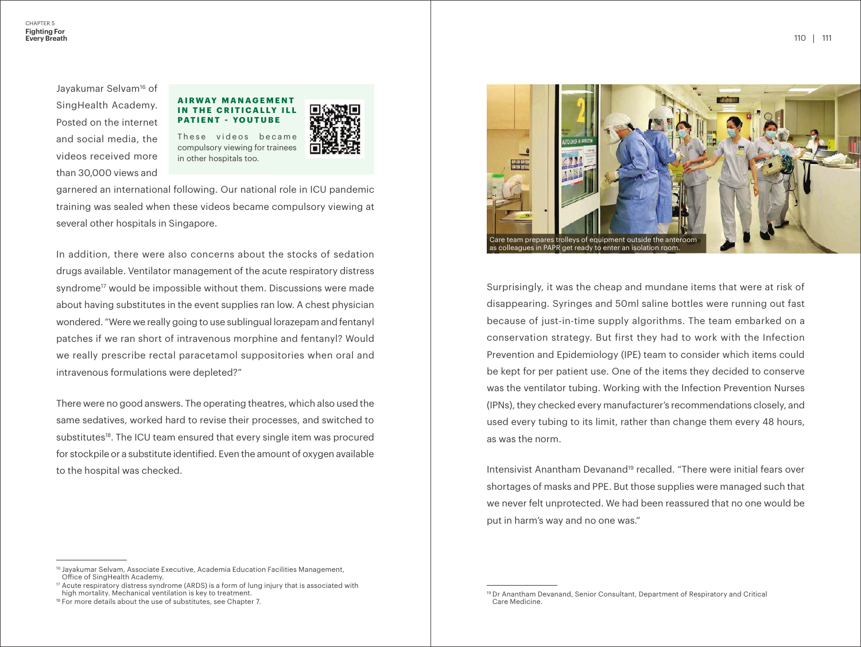Jayakumar Selvam<sup>16</sup> of SingHealth Academy. Posted on the internet and social media, the videos received more than 30,000 views and

## **A I R W AY M A N A G E M E N T IN THE CRITICALLY ILL PATIENT - YOUTUBE**

These videos became compulsory viewing for trainees in other hospitals too.



garnered an international following. Our national role in ICU pandemic training was sealed when these videos became compulsory viewing at several other hospitals in Singapore.

In addition, there were also concerns about the stocks of sedation drugs available. Ventilator management of the acute respiratory distress syndrome<sup>17</sup> would be impossible without them. Discussions were made about having substitutes in the event supplies ran low. A chest physician wondered. "Were we really going to use sublingual lorazepam and fentanyl patches if we ran short of intravenous morphine and fentanyl? Would we really prescribe rectal paracetamol suppositories when oral and intravenous formulations were depleted?"

There were no good answers. The operating theatres, which also used the same sedatives, worked hard to revise their processes, and switched to substitutes<sup>18</sup>. The ICU team ensured that every single item was procured for stockpile or a substitute identified. Even the amount of oxygen available to the hospital was checked.



<sup>17</sup> Acute respiratory distress syndrome (ARDS) is a form of lung injury that is associated with high mortality. Mechanical ventilation is key to treatment.



Surprisingly, it was the cheap and mundane items that were at risk of disappearing. Syringes and 50ml saline bottles were running out fast because of just-in-time supply algorithms. The team embarked on a conservation strategy. But first they had to work with the Infection Prevention and Epidemiology (IPE) team to consider which items could be kept for per patient use. One of the items they decided to conserve was the ventilator tubing. Working with the Infection Prevention Nurses (IPNs), they checked every manufacturer's recommendations closely, and used every tubing to its limit, rather than change them every 48 hours, as was the norm.

Intensivist Anantham Devanand<sup>19</sup> recalled. "There were initial fears over shortages of masks and PPE. But those supplies were managed such that we never felt unprotected. We had been reassured that no one would be put in harm's way and no one was."

<sup>19</sup> Dr Anantham Devanand, Senior Consultant, Department of Respiratory and Critical Care Medicine.

<sup>&</sup>lt;sup>18</sup> For more details about the use of substitutes, see Chapter 7.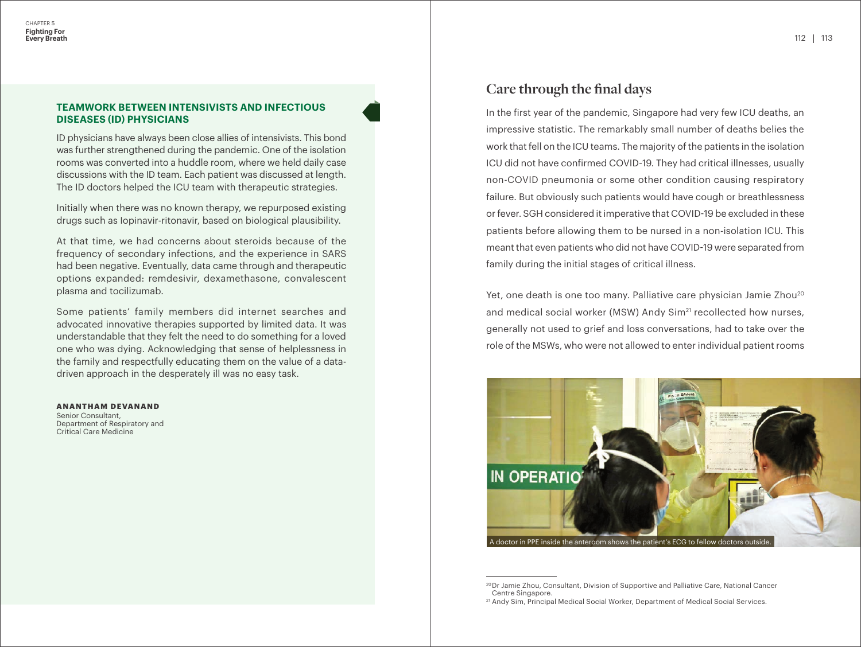## **TEAMWORK BETWEEN INTENSIVISTS AND INFECTIOUS DISEASES (ID) PHYSICIANS**

ID physicians have always been close allies of intensivists. This bond was further strengthened during the pandemic. One of the isolation rooms was converted into a huddle room, where we held daily case discussions with the ID team. Each patient was discussed at length. The ID doctors helped the ICU team with therapeutic strategies.

Initially when there was no known therapy, we repurposed existing drugs such as Iopinavir-ritonavir, based on biological plausibility.

At that time, we had concerns about steroids because of the frequency of secondary infections, and the experience in SARS had been negative. Eventually, data came through and therapeutic options expanded: remdesivir, dexamethasone, convalescent plasma and tocilizumab.

Some patients' family members did internet searches and advocated innovative therapies supported by limited data. It was understandable that they felt the need to do something for a loved one who was dying. Acknowledging that sense of helplessness in the family and respectfully educating them on the value of a datadriven approach in the desperately ill was no easy task.

**ANANTHAM DEVANAND** Senior Consultant, Department of Respiratory and Critical Care Medicine

# **Care through the final days**

In the first year of the pandemic, Singapore had very few ICU deaths, an impressive statistic. The remarkably small number of deaths belies the work that fell on the ICU teams. The majority of the patients in the isolation ICU did not have confirmed COVID-19. They had critical illnesses, usually non-COVID pneumonia or some other condition causing respiratory failure. But obviously such patients would have cough or breathlessness or fever. SGH considered it imperative that COVID-19 be excluded in these patients before allowing them to be nursed in a non-isolation ICU. This meant that even patients who did not have COVID-19 were separated from family during the initial stages of critical illness.

Yet, one death is one too many. Palliative care physician Jamie Zhou<sup>20</sup> and medical social worker (MSW) Andy Sim<sup>21</sup> recollected how nurses, generally not used to grief and loss conversations, had to take over the role of the MSWs, who were not allowed to enter individual patient rooms



<sup>20</sup>Dr Jamie Zhou, Consultant, Division of Supportive and Palliative Care, National Cancer Centre Singapore.

<sup>&</sup>lt;sup>21</sup> Andy Sim, Principal Medical Social Worker, Department of Medical Social Services.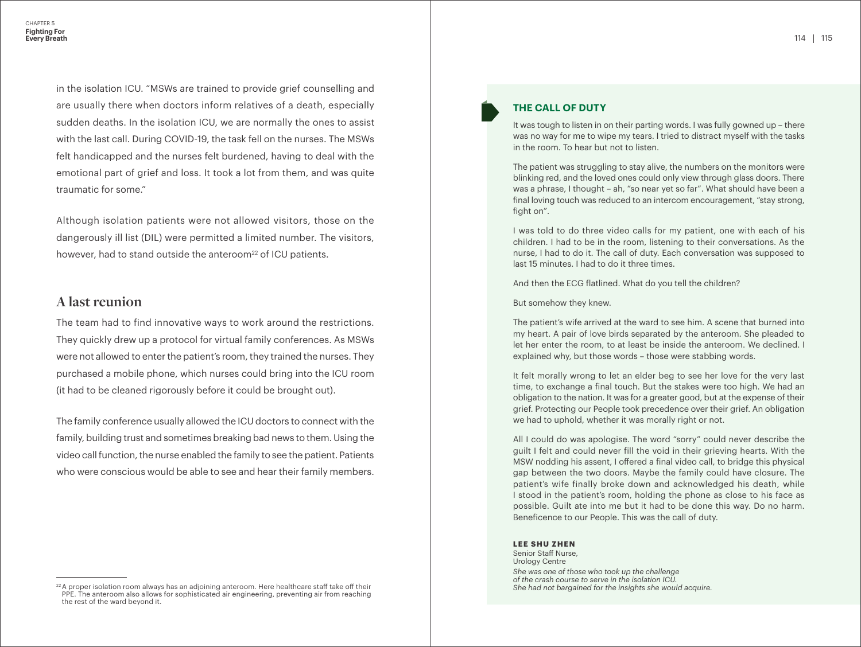in the isolation ICU. "MSWs are trained to provide grief counselling and are usually there when doctors inform relatives of a death, especially sudden deaths. In the isolation ICU, we are normally the ones to assist with the last call. During COVID-19, the task fell on the nurses. The MSWs felt handicapped and the nurses felt burdened, having to deal with the emotional part of grief and loss. It took a lot from them, and was quite traumatic for some."

Although isolation patients were not allowed visitors, those on the dangerously ill list (DIL) were permitted a limited number. The visitors, however, had to stand outside the anteroom<sup>22</sup> of ICU patients.

## **A last reunion**

The team had to find innovative ways to work around the restrictions. They quickly drew up a protocol for virtual family conferences. As MSWs were not allowed to enter the patient's room, they trained the nurses. They purchased a mobile phone, which nurses could bring into the ICU room (it had to be cleaned rigorously before it could be brought out).

The family conference usually allowed the ICU doctors to connect with the family, building trust and sometimes breaking bad news to them. Using the video call function, the nurse enabled the family to see the patient. Patients who were conscious would be able to see and hear their family members.

## **THE CALL OF DUTY**

It was tough to listen in on their parting words. I was fully gowned up – there was no way for me to wipe my tears. I tried to distract myself with the tasks in the room. To hear but not to listen.

The patient was struggling to stay alive, the numbers on the monitors were blinking red, and the loved ones could only view through glass doors. There was a phrase, I thought – ah, "so near yet so far". What should have been a final loving touch was reduced to an intercom encouragement, "stay strong, fight on".

I was told to do three video calls for my patient, one with each of his children. I had to be in the room, listening to their conversations. As the nurse, I had to do it. The call of duty. Each conversation was supposed to last 15 minutes. I had to do it three times.

And then the ECG flatlined. What do you tell the children?

But somehow they knew.

The patient's wife arrived at the ward to see him. A scene that burned into my heart. A pair of love birds separated by the anteroom. She pleaded to let her enter the room, to at least be inside the anteroom. We declined. I explained why, but those words – those were stabbing words.

It felt morally wrong to let an elder beg to see her love for the very last time, to exchange a final touch. But the stakes were too high. We had an obligation to the nation. It was for a greater good, but at the expense of their grief. Protecting our People took precedence over their grief. An obligation we had to uphold, whether it was morally right or not.

All I could do was apologise. The word "sorry" could never describe the guilt I felt and could never fill the void in their grieving hearts. With the MSW nodding his assent, I offered a final video call, to bridge this physical gap between the two doors. Maybe the family could have closure. The patient's wife finally broke down and acknowledged his death, while I stood in the patient's room, holding the phone as close to his face as possible. Guilt ate into me but it had to be done this way. Do no harm. Beneficence to our People. This was the call of duty.

#### **LEE SHU ZHEN**

Senior Staff Nurse, Urology Centre *She was one of those who took up the challenge of the crash course to serve in the isolation ICU. She had not bargained for the insights she would acquire.* 

 $22A$  proper isolation room always has an adjoining anteroom. Here healthcare staff take off their PPE. The anteroom also allows for sophisticated air engineering, preventing air from reaching the rest of the ward beyond it.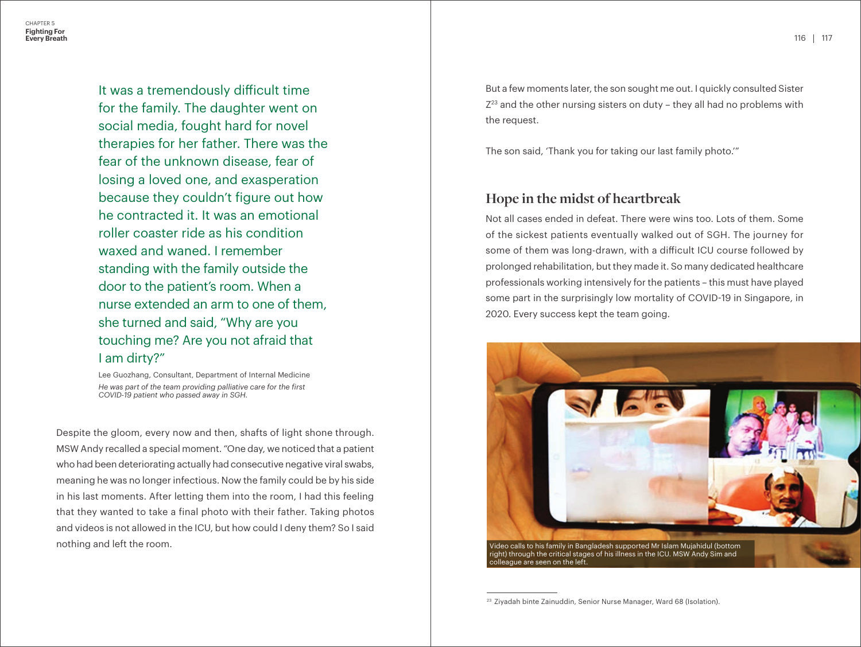CHAPTER 5 **Fighting For Every Breath**

> It was a tremendously difficult time for the family. The daughter went on social media, fought hard for novel therapies for her father. There was the fear of the unknown disease, fear of losing a loved one, and exasperation because they couldn't figure out how he contracted it. It was an emotional roller coaster ride as his condition waxed and waned. I remember standing with the family outside the door to the patient's room. When a nurse extended an arm to one of them, she turned and said, "Why are you touching me? Are you not afraid that I am dirty?"

Lee Guozhang, Consultant, Department of Internal Medicine *He was part of the team providing palliative care for the first COVID-19 patient who passed away in SGH.*

Despite the gloom, every now and then, shafts of light shone through. MSW Andy recalled a special moment. "One day, we noticed that a patient who had been deteriorating actually had consecutive negative viral swabs, meaning he was no longer infectious. Now the family could be by his side in his last moments. After letting them into the room, I had this feeling that they wanted to take a final photo with their father. Taking photos and videos is not allowed in the ICU, but how could I deny them? So I said nothing and left the room.

But a few moments later, the son sought me out. I quickly consulted Sister  $Z^{23}$  and the other nursing sisters on duty – they all had no problems with the request.

The son said, 'Thank you for taking our last family photo.'"

# **Hope in the midst of heartbreak**

Not all cases ended in defeat. There were wins too. Lots of them. Some of the sickest patients eventually walked out of SGH. The journey for some of them was long-drawn, with a difficult ICU course followed by prolonged rehabilitation, but they made it. So many dedicated healthcare professionals working intensively for the patients – this must have played some part in the surprisingly low mortality of COVID-19 in Singapore, in 2020. Every success kept the team going.



<sup>&</sup>lt;sup>23</sup> Ziyadah binte Zainuddin, Senior Nurse Manager, Ward 68 (Isolation).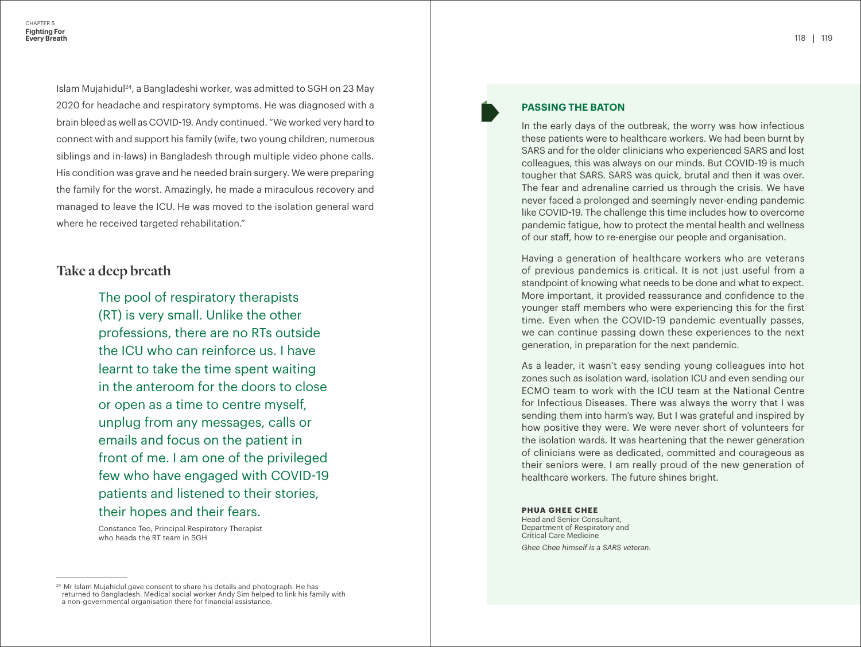Islam Mujahidul24, a Bangladeshi worker, was admitted to SGH on 23 May 2020 for headache and respiratory symptoms. He was diagnosed with a brain bleed as well as COVID-19. Andy continued. "We worked very hard to connect with and support his family (wife, two young children, numerous siblings and in-laws) in Bangladesh through multiple video phone calls. His condition was grave and he needed brain surgery. We were preparing the family for the worst. Amazingly, he made a miraculous recovery and managed to leave the ICU. He was moved to the isolation general ward where he received targeted rehabilitation."

## **Take a deep breath**

The pool of respiratory therapists (RT) is very small. Unlike the other professions, there are no RTs outside the ICU who can reinforce us. I have learnt to take the time spent waiting in the anteroom for the doors to close or open as a time to centre myself, unplug from any messages, calls or emails and focus on the patient in front of me. I am one of the privileged few who have engaged with COVID-19 patients and listened to their stories, their hopes and their fears.

Constance Teo, Principal Respiratory Therapist who heads the RT team in SGH

# **PASSING THE BATON**

In the early days of the outbreak, the worry was how infectious these patients were to healthcare workers. We had been burnt by SARS and for the older clinicians who experienced SARS and lost colleagues, this was always on our minds. But COVID-19 is much tougher that SARS. SARS was quick, brutal and then it was over. The fear and adrenaline carried us through the crisis. We have never faced a prolonged and seemingly never-ending pandemic like COVID-19. The challenge this time includes how to overcome pandemic fatigue, how to protect the mental health and wellness of our staff, how to re-energise our people and organisation.

Having a generation of healthcare workers who are veterans of previous pandemics is critical. It is not just useful from a standpoint of knowing what needs to be done and what to expect. More important, it provided reassurance and confidence to the younger staff members who were experiencing this for the first time. Even when the COVID-19 pandemic eventually passes, we can continue passing down these experiences to the next generation, in preparation for the next pandemic.

As a leader, it wasn't easy sending young colleagues into hot zones such as isolation ward, isolation ICU and even sending our ECMO team to work with the ICU team at the National Centre for Infectious Diseases. There was always the worry that I was sending them into harm's way. But I was grateful and inspired by how positive they were. We were never short of volunteers for the isolation wards. It was heartening that the newer generation of clinicians were as dedicated, committed and courageous as their seniors were. I am really proud of the new generation of healthcare workers. The future shines bright.

#### **PHUA GHEE CHEE**

Head and Senior Consultant, Department of Respiratory and Critical Care Medicine *Ghee Chee himself is a SARS veteran.*

<sup>&</sup>lt;sup>24</sup> Mr Islam Mujahidul gave consent to share his details and photograph. He has returned to Bangladesh. Medical social worker Andy Sim helped to link his family with a non-governmental organisation there for financial assistance.